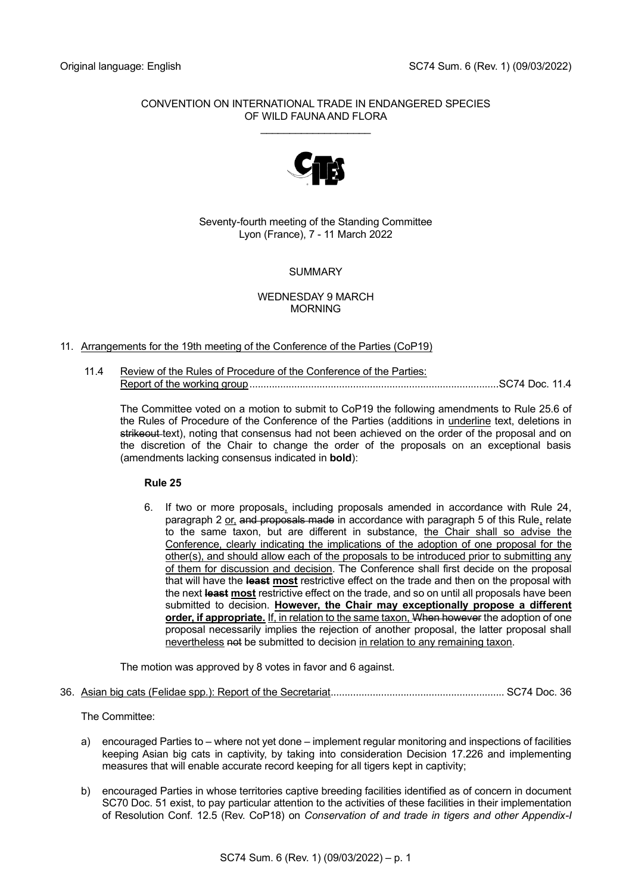## CONVENTION ON INTERNATIONAL TRADE IN ENDANGERED SPECIES OF WILD FAUNA AND FLORA

\_\_\_\_\_\_\_\_\_\_\_\_\_\_\_\_\_\_\_



Seventy-fourth meeting of the Standing Committee Lyon (France), 7 - 11 March 2022

# **SUMMARY**

### WEDNESDAY 9 MARCH MORNING

## 11. Arrangements for the 19th meeting of the Conference of the Parties (CoP19)

11.4 Review of the Rules of Procedure of the Conference of the Parties: Report of the working group.........................................................................................SC74 Doc. 11.4

The Committee voted on a motion to submit to CoP19 the following amendments to Rule 25.6 of the Rules of Procedure of the Conference of the Parties (additions in underline text, deletions in strikeout-text), noting that consensus had not been achieved on the order of the proposal and on the discretion of the Chair to change the order of the proposals on an exceptional basis (amendments lacking consensus indicated in **bold**):

## **Rule 25**

6. If two or more proposals, including proposals amended in accordance with Rule 24, paragraph 2 or, and proposals made in accordance with paragraph 5 of this Rule, relate to the same taxon, but are different in substance, the Chair shall so advise the Conference, clearly indicating the implications of the adoption of one proposal for the other(s), and should allow each of the proposals to be introduced prior to submitting any of them for discussion and decision. The Conference shall first decide on the proposal that will have the **least most** restrictive effect on the trade and then on the proposal with the next **least most** restrictive effect on the trade, and so on until all proposals have been submitted to decision. **However, the Chair may exceptionally propose a different order, if appropriate.** If, in relation to the same taxon, When however the adoption of one proposal necessarily implies the rejection of another proposal, the latter proposal shall nevertheless not be submitted to decision in relation to any remaining taxon.

The motion was approved by 8 votes in favor and 6 against.

36. Asian big cats (Felidae spp.): Report of the Secretariat.............................................................. SC74 Doc. 36

The Committee:

- a) encouraged Parties to where not yet done implement regular monitoring and inspections of facilities keeping Asian big cats in captivity, by taking into consideration Decision 17.226 and implementing measures that will enable accurate record keeping for all tigers kept in captivity;
- b) encouraged Parties in whose territories captive breeding facilities identified as of concern in document SC70 Doc. 51 exist, to pay particular attention to the activities of these facilities in their implementation of Resolution Conf. 12.5 (Rev. CoP18) on *Conservation of and trade in tigers and other Appendix-I*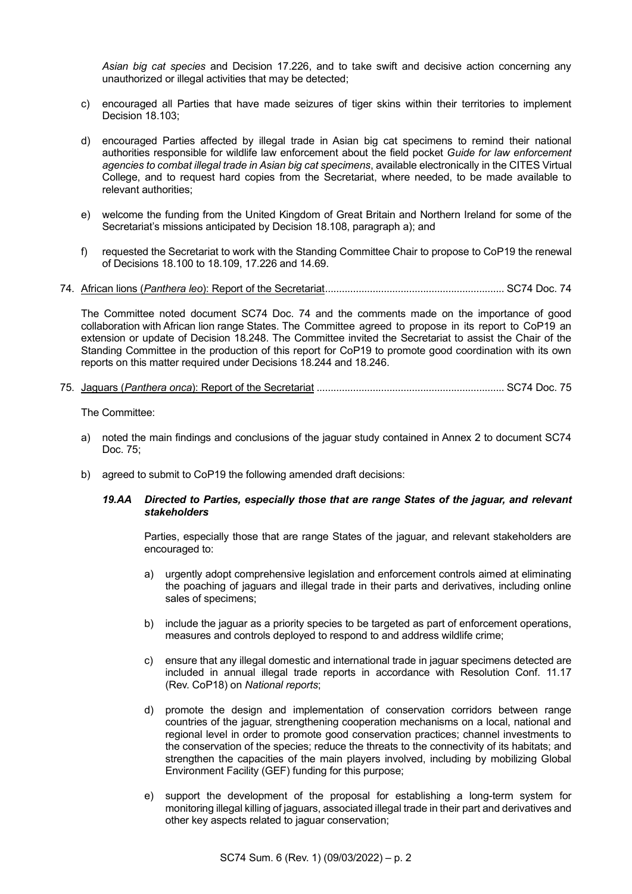*Asian big cat species* and Decision 17.226, and to take swift and decisive action concerning any unauthorized or illegal activities that may be detected;

- c) encouraged all Parties that have made seizures of tiger skins within their territories to implement Decision 18.103;
- d) encouraged Parties affected by illegal trade in Asian big cat specimens to remind their national authorities responsible for wildlife law enforcement about the field pocket *Guide for law enforcement agencies to combat illegal trade in Asian big cat specimens*, available electronically in the CITES Virtual College, and to request hard copies from the Secretariat, where needed, to be made available to relevant authorities;
- e) welcome the funding from the United Kingdom of Great Britain and Northern Ireland for some of the Secretariat's missions anticipated by Decision 18.108, paragraph a); and
- f) requested the Secretariat to work with the Standing Committee Chair to propose to CoP19 the renewal of Decisions 18.100 to 18.109, 17.226 and 14.69.
- 74. African lions (*Panthera leo*): Report of the Secretariat................................................................ SC74 Doc. 74

The Committee noted document SC74 Doc. 74 and the comments made on the importance of good collaboration with African lion range States. The Committee agreed to propose in its report to CoP19 an extension or update of Decision 18.248. The Committee invited the Secretariat to assist the Chair of the Standing Committee in the production of this report for CoP19 to promote good coordination with its own reports on this matter required under Decisions 18.244 and 18.246.

75. Jaguars (*Panthera onca*): Report of the Secretariat ................................................................... SC74 Doc. 75

The Committee:

- a) noted the main findings and conclusions of the jaguar study contained in Annex 2 to document SC74 Doc. 75;
- b) agreed to submit to CoP19 the following amended draft decisions:

### *19.AA Directed to Parties, especially those that are range States of the jaguar, and relevant stakeholders*

Parties, especially those that are range States of the jaguar, and relevant stakeholders are encouraged to:

- a) urgently adopt comprehensive legislation and enforcement controls aimed at eliminating the poaching of jaguars and illegal trade in their parts and derivatives, including online sales of specimens;
- b) include the jaguar as a priority species to be targeted as part of enforcement operations, measures and controls deployed to respond to and address wildlife crime;
- c) ensure that any illegal domestic and international trade in jaguar specimens detected are included in annual illegal trade reports in accordance with Resolution Conf. 11.17 (Rev. CoP18) on *National reports*;
- d) promote the design and implementation of conservation corridors between range countries of the jaguar, strengthening cooperation mechanisms on a local, national and regional level in order to promote good conservation practices; channel investments to the conservation of the species; reduce the threats to the connectivity of its habitats; and strengthen the capacities of the main players involved, including by mobilizing Global Environment Facility (GEF) funding for this purpose;
- e) support the development of the proposal for establishing a long-term system for monitoring illegal killing of jaguars, associated illegal trade in their part and derivatives and other key aspects related to jaguar conservation;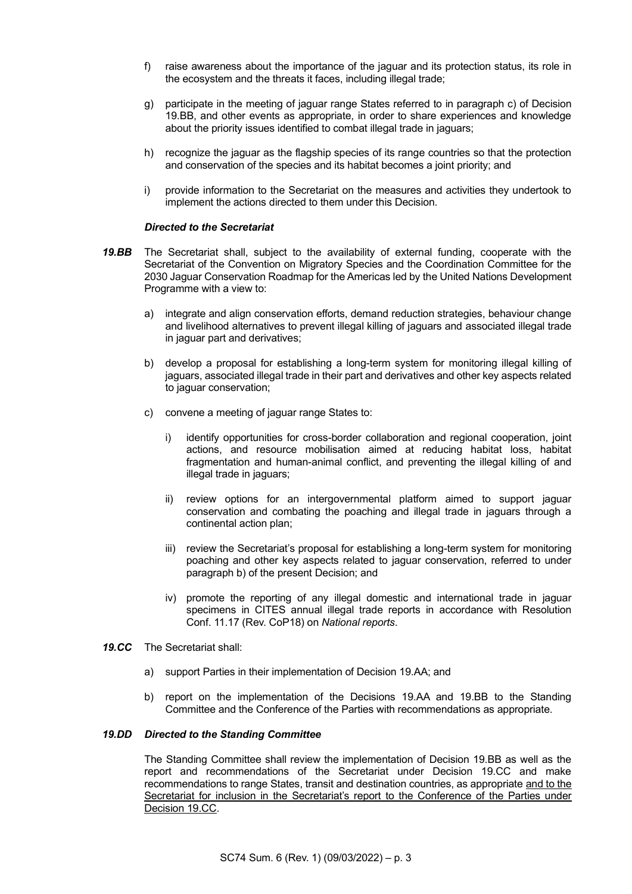- f) raise awareness about the importance of the jaguar and its protection status, its role in the ecosystem and the threats it faces, including illegal trade;
- g) participate in the meeting of jaguar range States referred to in paragraph c) of Decision 19.BB, and other events as appropriate, in order to share experiences and knowledge about the priority issues identified to combat illegal trade in jaguars;
- h) recognize the jaguar as the flagship species of its range countries so that the protection and conservation of the species and its habitat becomes a joint priority; and
- i) provide information to the Secretariat on the measures and activities they undertook to implement the actions directed to them under this Decision.

### *Directed to the Secretariat*

- *19.BB* The Secretariat shall, subject to the availability of external funding, cooperate with the Secretariat of the Convention on Migratory Species and the Coordination Committee for the 2030 Jaguar Conservation Roadmap for the Americas led by the United Nations Development Programme with a view to:
	- a) integrate and align conservation efforts, demand reduction strategies, behaviour change and livelihood alternatives to prevent illegal killing of jaguars and associated illegal trade in jaguar part and derivatives;
	- b) develop a proposal for establishing a long-term system for monitoring illegal killing of jaguars, associated illegal trade in their part and derivatives and other key aspects related to jaguar conservation;
	- c) convene a meeting of jaguar range States to:
		- i) identify opportunities for cross-border collaboration and regional cooperation, joint actions, and resource mobilisation aimed at reducing habitat loss, habitat fragmentation and human-animal conflict, and preventing the illegal killing of and illegal trade in jaguars;
		- ii) review options for an intergovernmental platform aimed to support jaguar conservation and combating the poaching and illegal trade in jaguars through a continental action plan;
		- iii) review the Secretariat's proposal for establishing a long-term system for monitoring poaching and other key aspects related to jaguar conservation, referred to under paragraph b) of the present Decision; and
		- iv) promote the reporting of any illegal domestic and international trade in jaguar specimens in CITES annual illegal trade reports in accordance with Resolution Conf. 11.17 (Rev. CoP18) on *National reports*.
- *19.CC* The Secretariat shall:
	- a) support Parties in their implementation of Decision 19.AA; and
	- b) report on the implementation of the Decisions 19.AA and 19.BB to the Standing Committee and the Conference of the Parties with recommendations as appropriate.

#### *19.DD Directed to the Standing Committee*

The Standing Committee shall review the implementation of Decision 19.BB as well as the report and recommendations of the Secretariat under Decision 19.CC and make recommendations to range States, transit and destination countries, as appropriate and to the Secretariat for inclusion in the Secretariat's report to the Conference of the Parties under Decision 19.CC.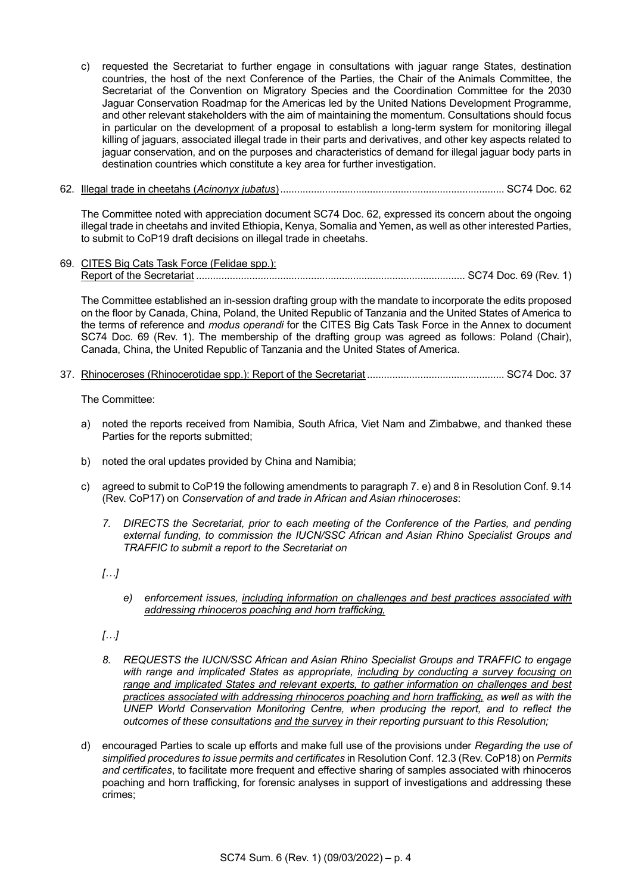- c) requested the Secretariat to further engage in consultations with jaguar range States, destination countries, the host of the next Conference of the Parties, the Chair of the Animals Committee, the Secretariat of the Convention on Migratory Species and the Coordination Committee for the 2030 Jaguar Conservation Roadmap for the Americas led by the United Nations Development Programme, and other relevant stakeholders with the aim of maintaining the momentum. Consultations should focus in particular on the development of a proposal to establish a long-term system for monitoring illegal killing of jaguars, associated illegal trade in their parts and derivatives, and other key aspects related to jaguar conservation, and on the purposes and characteristics of demand for illegal jaguar body parts in destination countries which constitute a key area for further investigation.
- 62. Illegal trade in cheetahs (*Acinonyx jubatus*)................................................................................ SC74 Doc. 62

The Committee noted with appreciation document SC74 Doc. 62, expressed its concern about the ongoing illegal trade in cheetahs and invited Ethiopia, Kenya, Somalia and Yemen, as well as other interested Parties, to submit to CoP19 draft decisions on illegal trade in cheetahs.

69. CITES Big Cats Task Force (Felidae spp.): Report of the Secretariat ................................................................................................ SC74 Doc. 69 (Rev. 1)

The Committee established an in-session drafting group with the mandate to incorporate the edits proposed on the floor by Canada, China, Poland, the United Republic of Tanzania and the United States of America to the terms of reference and *modus operandi* for the CITES Big Cats Task Force in the Annex to document SC74 Doc. 69 (Rev. 1). The membership of the drafting group was agreed as follows: Poland (Chair), Canada, China, the United Republic of Tanzania and the United States of America.

37. Rhinoceroses (Rhinocerotidae spp.): Report of the Secretariat ................................................. SC74 Doc. 37

The Committee:

- a) noted the reports received from Namibia, South Africa, Viet Nam and Zimbabwe, and thanked these Parties for the reports submitted;
- b) noted the oral updates provided by China and Namibia;
- c) agreed to submit to CoP19 the following amendments to paragraph 7. e) and 8 in Resolution Conf. 9.14 (Rev. CoP17) on *Conservation of and trade in African and Asian rhinoceroses*:
	- *7. DIRECTS the Secretariat, prior to each meeting of the Conference of the Parties, and pending external funding, to commission the IUCN/SSC African and Asian Rhino Specialist Groups and TRAFFIC to submit a report to the Secretariat on*

*[…]*

- *e) enforcement issues, including information on challenges and best practices associated with addressing rhinoceros poaching and horn trafficking,*
- *[…]*
- *8. REQUESTS the IUCN/SSC African and Asian Rhino Specialist Groups and TRAFFIC to engage with range and implicated States as appropriate, including by conducting a survey focusing on range and implicated States and relevant experts, to gather information on challenges and best practices associated with addressing rhinoceros poaching and horn trafficking, as well as with the UNEP World Conservation Monitoring Centre, when producing the report, and to reflect the outcomes of these consultations and the survey in their reporting pursuant to this Resolution;*
- d) encouraged Parties to scale up efforts and make full use of the provisions under *Regarding the use of simplified procedures to issue permits and certificates* in Resolution Conf. 12.3 (Rev. CoP18) on *Permits and certificates*, to facilitate more frequent and effective sharing of samples associated with rhinoceros poaching and horn trafficking, for forensic analyses in support of investigations and addressing these crimes;